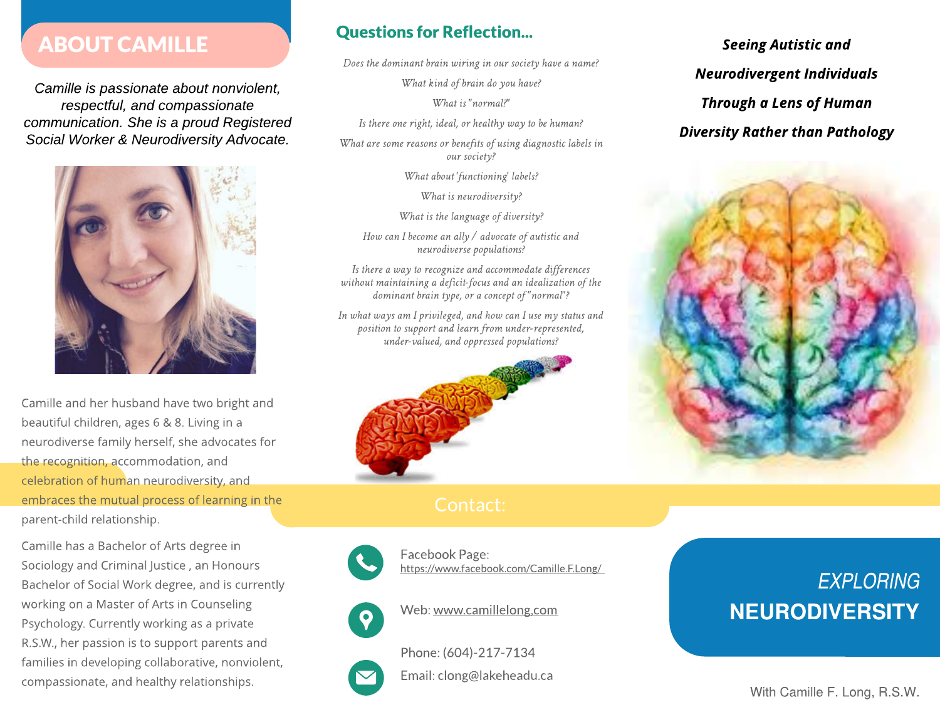# ABOUT CAMILLE

**Camille is passionate about nonviolent, respectful, and compassionate communication. She is a proud Registered Social Worker & Neurodiversity Advocate.**



Camille and her husband have two bright and beautiful children, ages 6 & 8. Living in a neurodiverse family herself, she advocates for the recognition, accommodation, and celebration of human neurodiversity, and embraces the mutual process of learning in the parent-child relationship.

Camille has a Bachelor of Arts degree in Sociology and Criminal Justice , an Honours Bachelor of Social Work degree, and is currently working on a Master of Arts in Counseling Psychology. Currently working as a private R.S.W., her passion is to support parents and families in developing collaborative, nonviolent, compassionate, and healthy relationships.

## Questions for Reflection...

Does the dominant brain wiring in our society have a name?

**What kind of brain do you have?** 

**Whatis"normal?"**

Is there one right, ideal, or healthy way to be human?

What are some reasons or benefits of using diagnostic labels in **oursociety?**

What about' functioning' labels?

**What is neurodiversity?** 

**What is the language of diversity?** 

**HowcanI becomeanally/ advocateofautisticand** neurodiverse populations?

Is there a way to recognize and accommodate differences **without maintainingadeficit-focusandanidealizationof the dominantbraintype,oraconceptof "normal"?**

In what ways am I privileged, and how can I use my status and position to support and learn from under-represented, **under-valued,andoppressedpopulations?**





Facebook Page: https://www.facebook.com/Camille.F.Long/



Web: www.camillelong,com

Phone:(604)-217-7134

Email: clong@lakeheadu.ca

**Seeing Autistic and Neurodivergent Individuals Through a Lens of Human Diversity Rather than Pathology**



# **EXPLORING** NEURODIVERSITY